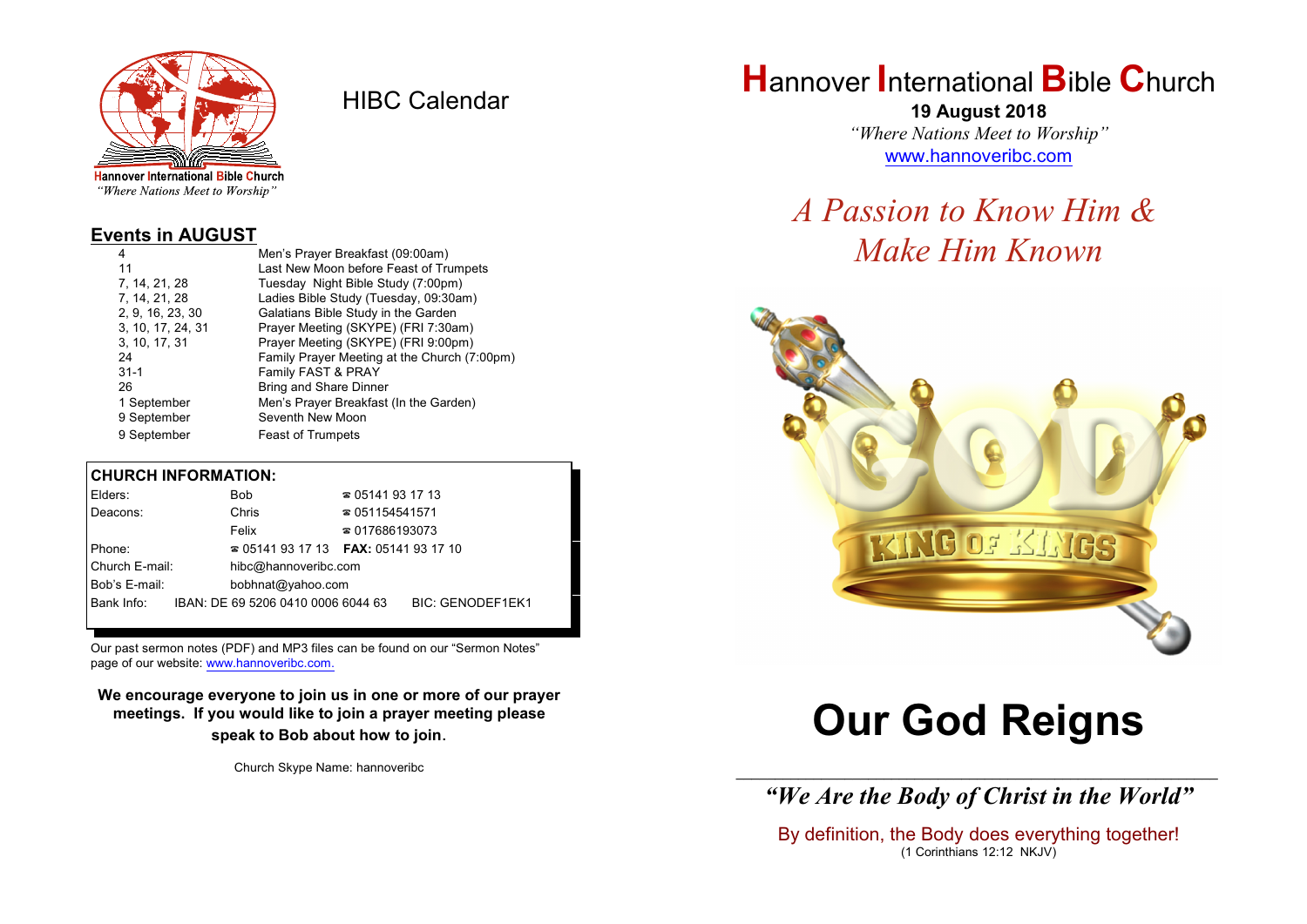

HIBC Calendar

"Where Nations Meet to Worship"

#### **Events in AUGUST**

| Men's Prayer Breakfast (09:00am)             |
|----------------------------------------------|
| Last New Moon before Feast of Trumpets       |
| Tuesday Night Bible Study (7:00pm)           |
| Ladies Bible Study (Tuesday, 09:30am)        |
| Galatians Bible Study in the Garden          |
| Prayer Meeting (SKYPE) (FRI 7:30am)          |
| Prayer Meeting (SKYPE) (FRI 9:00pm)          |
| Family Prayer Meeting at the Church (7:00pm) |
| Family FAST & PRAY                           |
| <b>Bring and Share Dinner</b>                |
| Men's Prayer Breakfast (In the Garden)       |
| Seventh New Moon                             |
| <b>Feast of Trumpets</b>                     |
|                                              |

#### **CHURCH INFORMATION:**

| Elders:        | Bob                                      | $\approx 05141931713$  |                  |
|----------------|------------------------------------------|------------------------|------------------|
| Deacons:       | Chris                                    | $\approx 051154541571$ |                  |
|                | Felix                                    | $\approx 017686193073$ |                  |
| Phone:         | $\approx 05141931713$ FAX: 0514193 17 10 |                        |                  |
| Church E-mail: | hibc@hannoveribc.com                     |                        |                  |
| Bob's E-mail:  | bobhnat@yahoo.com                        |                        |                  |
| Bank Info:     | IBAN: DE 69 5206 0410 0006 6044 63       |                        | BIC: GENODEF1EK1 |
|                |                                          |                        |                  |

Our past sermon notes (PDF) and MP3 files can be found on our "Sermon Notes" page of our website: [www.hannoveribc.com.](http://www.hannoveribc.com.)

**We encourage everyone to join us in one or more of our prayer meetings. If you would like to join a prayer meeting please speak to Bob about how to join**.

Church Skype Name: hannoveribc

# **H**annover **I**nternational **B**ible **C**hurch

**19 August 2018** *"Where Nations Meet to Worship"* [www.hannoveribc.com](http://www.hannoveribc.com)

# *A Passion to Know Him & Make Him Known*



# **Our God Reigns**

\_\_\_\_\_\_\_\_\_\_\_\_\_\_\_\_\_\_\_\_\_\_\_\_\_\_\_\_\_\_\_\_\_\_\_\_\_\_\_\_\_\_\_\_\_\_\_\_\_\_\_\_\_\_\_\_\_\_\_\_\_\_ *"We Are the Body of Christ in the World"*

By definition, the Body does everything together! (1 Corinthians 12:12 NKJV)